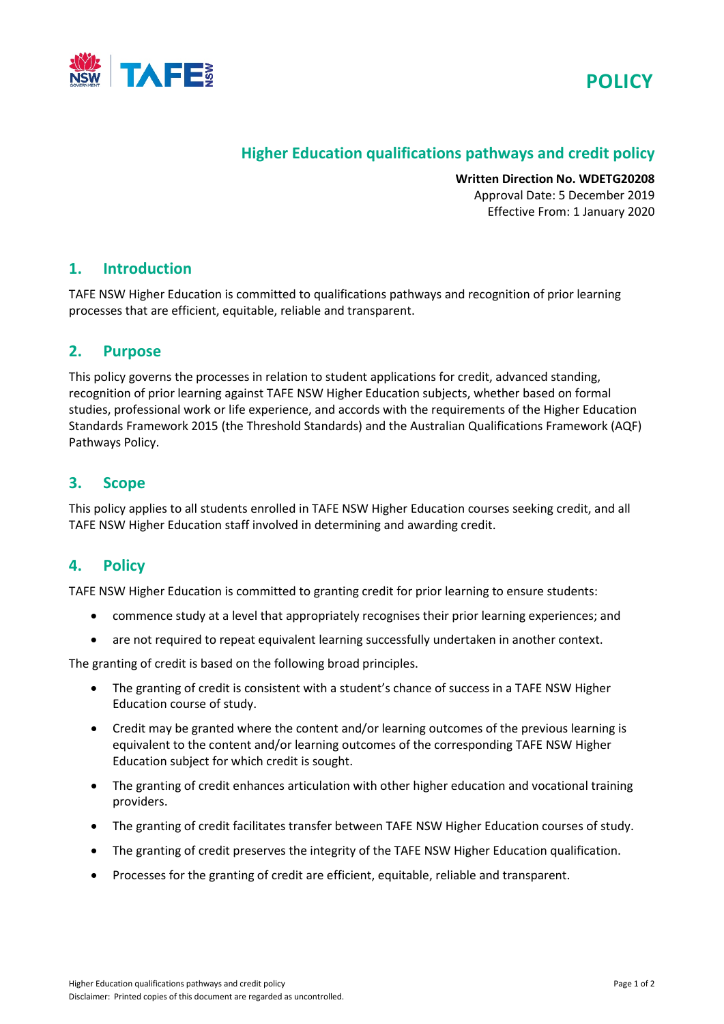



## **Higher Education qualifications pathways and credit policy**

**Written Direction No. WDETG20208** Approval Date: 5 December 2019 Effective From: 1 January 2020

## **1. Introduction**

TAFE NSW Higher Education is committed to qualifications pathways and recognition of prior learning processes that are efficient, equitable, reliable and transparent.

#### **2. Purpose**

This policy governs the processes in relation to student applications for credit, advanced standing, recognition of prior learning against TAFE NSW Higher Education subjects, whether based on formal studies, professional work or life experience, and accords with the requirements of the Higher Education Standards Framework 2015 (the Threshold Standards) and the Australian Qualifications Framework (AQF) Pathways Policy.

## **3. Scope**

This policy applies to all students enrolled in TAFE NSW Higher Education courses seeking credit, and all TAFE NSW Higher Education staff involved in determining and awarding credit.

## **4. Policy**

TAFE NSW Higher Education is committed to granting credit for prior learning to ensure students:

- commence study at a level that appropriately recognises their prior learning experiences; and
- are not required to repeat equivalent learning successfully undertaken in another context.

The granting of credit is based on the following broad principles.

- The granting of credit is consistent with a student's chance of success in a TAFE NSW Higher Education course of study.
- Credit may be granted where the content and/or learning outcomes of the previous learning is equivalent to the content and/or learning outcomes of the corresponding TAFE NSW Higher Education subject for which credit is sought.
- The granting of credit enhances articulation with other higher education and vocational training providers.
- The granting of credit facilitates transfer between TAFE NSW Higher Education courses of study.
- The granting of credit preserves the integrity of the TAFE NSW Higher Education qualification.
- Processes for the granting of credit are efficient, equitable, reliable and transparent.